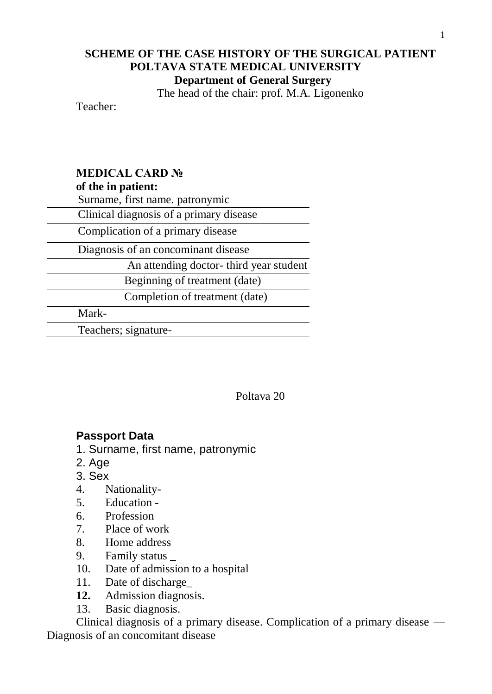## **SCHEME OF THE CASE HISTORY OF THE SURGICAL PATIENT POLTAVA STATE MEDICAL UNIVERSITY Department of General Surgery**

The head of the chair: prof. M.A. Ligonenko

Teacher:

# **MEDICAL CARD №**

### **of the in patient:**

Surname, first name. patronymic

Clinical diagnosis of a primary disease

Complication of a primary disease

Diagnosis of an concominant disease

An attending doctor- third year student

Beginning of treatment (date)

Completion of treatment (date)

Mark-

Teachers; signature-

Poltava 20

## **Passport Data**

- 1. Surname, first name, patronymic
- 2. Age
- 3. Sex
- 4. Nationality-
- 5. Education -
- 6. Profession
- 7. Place of work
- 8. Home address
- 9. Family status \_
- 10. Date of admission to a hospital
- 11. Date of discharge\_
- **12.** Admission diagnosis.
- 13. Basic diagnosis.

Clinical diagnosis of a primary disease. Complication of a primary disease — Diagnosis of an concomitant disease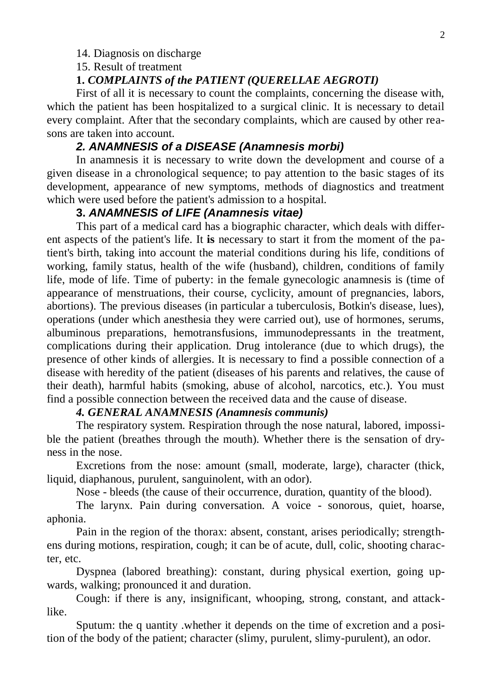#### 14. Diagnosis on discharge

15. Result of treatment

#### **1.** *COMPLAINTS of the PATIENT (QUERELLAE AEGROTI)*

First of all it is necessary to count the complaints, concerning the disease with, which the patient has been hospitalized to a surgical clinic. It is necessary to detail every complaint. After that the secondary complaints, which are caused by other reasons are taken into account.

### *2. ANAMNESIS of a DISEASE (Anamnesis morbi)*

In anamnesis it is necessary to write down the development and course of a given disease in a chronological sequence; to pay attention to the basic stages of its development, appearance of new symptoms, methods of diagnostics and treatment which were used before the patient's admission to a hospital.

### **3.** *ANAMNESIS of LIFE (Anamnesis vitae)*

This part of a medical card has a biographic character, which deals with different aspects of the patient's life. It **is** necessary to start it from the moment of the patient's birth, taking into account the material conditions during his life, conditions of working, family status, health of the wife (husband), children, conditions of family life, mode of life. Time of puberty: in the female gynecologic anamnesis is (time of appearance of menstruations, their course, cyclicity, amount of pregnancies, labors, abortions). The previous diseases (in particular a tuberculosis, Botkin's disease, lues), operations (under which anesthesia they were carried out), use of hormones, serums, albuminous preparations, hemotransfusions, immunodepressants in the treatment, complications during their application. Drug intolerance (due to which drugs), the presence of other kinds of allergies. It is necessary to find a possible connection of a disease with heredity of the patient (diseases of his parents and relatives, the cause of their death), harmful habits (smoking, abuse of alcohol, narcotics, etc.). You must find a possible connection between the received data and the cause of disease.

#### *4. GENERAL ANAMNESIS (Anamnesis communis)*

The respiratory system. Respiration through the nose natural, labored, impossible the patient (breathes through the mouth). Whether there is the sensation of dryness in the nose.

Excretions from the nose: amount (small, moderate, large), character (thick, liquid, diaphanous, purulent, sanguinolent, with an odor).

Nose - bleeds (the cause of their occurrence, duration, quantity of the blood).

The larynx. Pain during conversation. A voice - sonorous, quiet, hoarse, aphonia.

Pain in the region of the thorax: absent, constant, arises periodically; strengthens during motions, respiration, cough; it can be of acute, dull, colic, shooting character, etc.

Dyspnea (labored breathing): constant, during physical exertion, going upwards, walking; pronounced it and duration.

Cough: if there is any, insignificant, whooping, strong, constant, and attacklike.

Sputum: the q uantity .whether it depends on the time of excretion and a position of the body of the patient; character (slimy, purulent, slimy-purulent), an odor.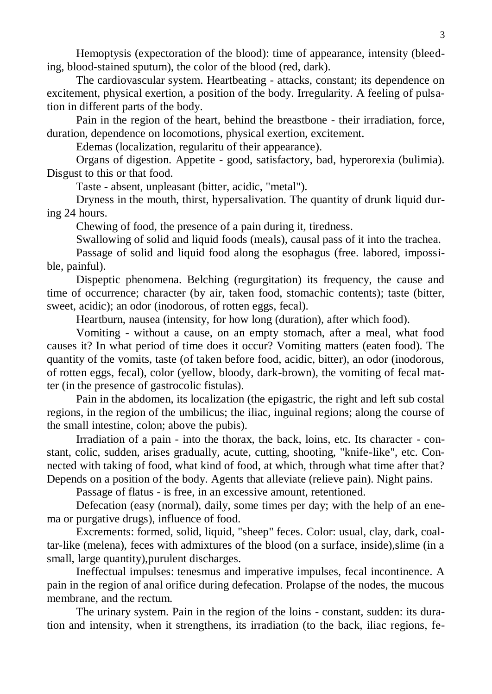Hemoptysis (expectoration of the blood): time of appearance, intensity (bleeding, blood-stained sputum), the color of the blood (red, dark).

The cardiovascular system. Heartbeating - attacks, constant; its dependence on excitement, physical exertion, a position of the body. Irregularity. A feeling of pulsation in different parts of the body.

Pain in the region of the heart, behind the breastbone - their irradiation, force, duration, dependence on locomotions, physical exertion, excitement.

Edemas (localization, regularitu of their appearance).

Organs of digestion. Appetite - good, satisfactory, bad, hyperorexia (bulimia). Disgust to this or that food.

Taste - absent, unpleasant (bitter, acidic, "metal").

Dryness in the mouth, thirst, hypersalivation. The quantity of drunk liquid during 24 hours.

Chewing of food, the presence of a pain during it, tiredness.

Swallowing of solid and liquid foods (meals), causal pass of it into the trachea.

Passage of solid and liquid food along the esophagus (free. labored, impossible, painful).

Dispeptic phenomena. Belching (regurgitation) its frequency, the cause and time of occurrence; character (by air, taken food, stomachic contents); taste (bitter, sweet, acidic); an odor (inodorous, of rotten eggs, fecal).

Heartburn, nausea (intensity, for how long (duration), after which food).

Vomiting - without a cause, on an empty stomach, after a meal, what food causes it? In what period of time does it occur? Vomiting matters (eaten food). The quantity of the vomits, taste (of taken before food, acidic, bitter), an odor (inodorous, of rotten eggs, fecal), color (yellow, bloody, dark-brown), the vomiting of fecal matter (in the presence of gastrocolic fistulas).

Pain in the abdomen, its localization (the epigastric, the right and left sub costal regions, in the region of the umbilicus; the iliac, inguinal regions; along the course of the small intestine, colon; above the pubis).

Irradiation of a pain - into the thorax, the back, loins, etc. Its character - constant, colic, sudden, arises gradually, acute, cutting, shooting, "knife-like", etc. Connected with taking of food, what kind of food, at which, through what time after that? Depends on a position of the body. Agents that alleviate (relieve pain). Night pains.

Passage of flatus - is free, in an excessive amount, retentioned.

Defecation (easy (normal), daily, some times per day; with the help of an enema or purgative drugs), influence of food.

Excrements: formed, solid, liquid, "sheep" feces. Color: usual, clay, dark, coaltar-like (melena), feces with admixtures of the blood (on a surface, inside),slime (in a small, large quantity),purulent discharges.

Ineffectual impulses: tenesmus and imperative impulses, fecal incontinence. A pain in the region of anal orifice during defecation. Prolapse of the nodes, the mucous membrane, and the rectum.

The urinary system. Pain in the region of the loins - constant, sudden: its duration and intensity, when it strengthens, its irradiation (to the back, iliac regions, fe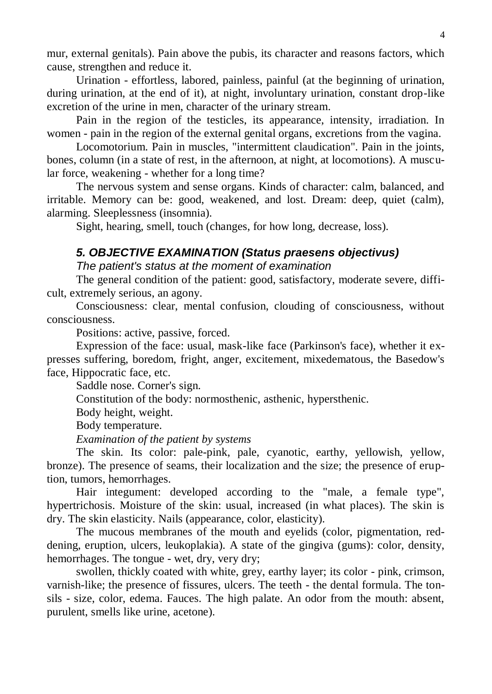mur, external genitals). Pain above the pubis, its character and reasons factors, which cause, strengthen and reduce it.

Urination - effortless, labored, painless, painful (at the beginning of urination, during urination, at the end of it), at night, involuntary urination, constant drop-like excretion of the urine in men, character of the urinary stream.

Pain in the region of the testicles, its appearance, intensity, irradiation. In women - pain in the region of the external genital organs, excretions from the vagina.

Locomotorium. Pain in muscles, "intermittent claudication". Pain in the joints, bones, column (in a state of rest, in the afternoon, at night, at locomotions). A muscular force, weakening - whether for a long time?

The nervous system and sense organs. Kinds of character: calm, balanced, and irritable. Memory can be: good, weakened, and lost. Dream: deep, quiet (calm), alarming. Sleeplessness (insomnia).

Sight, hearing, smell, touch (changes, for how long, decrease, loss).

### *5. OBJECTIVE EXAMINATION (Status praesens objectivus)*

#### *The patient's status at the moment of examination*

The general condition of the patient: good, satisfactory, moderate severe, difficult, extremely serious, an agony.

Consciousness: clear, mental confusion, clouding of consciousness, without consciousness.

Positions: active, passive, forced.

Expression of the face: usual, mask-like face (Parkinson's face), whether it expresses suffering, boredom, fright, anger, excitement, mixedematous, the Basedow's face, Hippocratic face, etc.

Saddle nose. Corner's sign.

Constitution of the body: normosthenic, asthenic, hypersthenic.

Body height, weight.

Body temperature.

*Examination of the patient by systems*

The skin. Its color: pale-pink, pale, cyanotic, earthy, yellowish, yellow, bronze). The presence of seams, their localization and the size; the presence of eruption, tumors, hemorrhages.

Hair integument: developed according to the "male, a female type", hypertrichosis. Moisture of the skin: usual, increased (in what places). The skin is dry. The skin elasticity. Nails (appearance, color, elasticity).

The mucous membranes of the mouth and eyelids (color, pigmentation, reddening, eruption, ulcers, leukoplakia). A state of the gingiva (gums): color, density, hemorrhages. The tongue - wet, dry, very dry;

swollen, thickly coated with white, grey, earthy layer; its color - pink, crimson, varnish-like; the presence of fissures, ulcers. The teeth - the dental formula. The tonsils - size, color, edema. Fauces. The high palate. An odor from the mouth: absent, purulent, smells like urine, acetone).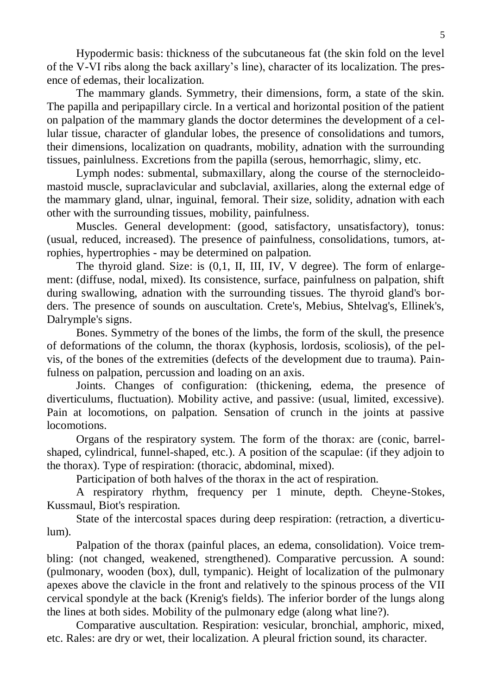Hypodermic basis: thickness of the subcutaneous fat (the skin fold on the level of the V-VI ribs along the back axillary's line), character of its localization. The presence of edemas, their localization.

The mammary glands. Symmetry, their dimensions, form, a state of the skin. The papilla and peripapillary circle. In a vertical and horizontal position of the patient on palpation of the mammary glands the doctor determines the development of a cellular tissue, character of glandular lobes, the presence of consolidations and tumors, their dimensions, localization on quadrants, mobility, adnation with the surrounding tissues, painlulness. Excretions from the papilla (serous, hemorrhagic, slimy, etc.

Lymph nodes: submental, submaxillary, along the course of the sternocleidomastoid muscle, supraclavicular and subclavial, axillaries, along the external edge of the mammary gland, ulnar, inguinal, femoral. Their size, solidity, adnation with each other with the surrounding tissues, mobility, painfulness.

Muscles. General development: (good, satisfactory, unsatisfactory), tonus: (usual, reduced, increased). The presence of painfulness, consolidations, tumors, atrophies, hypertrophies - may be determined on palpation.

The thyroid gland. Size: is (0,1, II, III, IV, V degree). The form of enlargement: (diffuse, nodal, mixed). Its consistence, surface, painfulness on palpation, shift during swallowing, adnation with the surrounding tissues. The thyroid gland's borders. The presence of sounds on auscultation. Crete's, Mebius, Shtelvag's, Ellinek's, Dalrymple's signs.

Bones. Symmetry of the bones of the limbs, the form of the skull, the presence of deformations of the column, the thorax (kyphosis, lordosis, scoliosis), of the pelvis, of the bones of the extremities (defects of the development due to trauma). Painfulness on palpation, percussion and loading on an axis.

Joints. Changes of configuration: (thickening, edema, the presence of diverticulums, fluctuation). Mobility active, and passive: (usual, limited, excessive). Pain at locomotions, on palpation. Sensation of crunch in the joints at passive locomotions.

Organs of the respiratory system. The form of the thorax: are (conic, barrelshaped, cylindrical, funnel-shaped, etc.). A position of the scapulae: (if they adjoin to the thorax). Type of respiration: (thoracic, abdominal, mixed).

Participation of both halves of the thorax in the act of respiration.

A respiratory rhythm, frequency per 1 minute, depth. Cheyne-Stokes, Kussmaul, Biot's respiration.

State of the intercostal spaces during deep respiration: (retraction, a diverticulum).

Palpation of the thorax (painful places, an edema, consolidation). Voice trembling: (not changed, weakened, strengthened). Comparative percussion. A sound: (pulmonary, wooden (box), dull, tympanic). Height of localization of the pulmonary apexes above the clavicle in the front and relatively to the spinous process of the VII cervical spondyle at the back (Krenig's fields). The inferior border of the lungs along the lines at both sides. Mobility of the pulmonary edge (along what line?).

Comparative auscultation. Respiration: vesicular, bronchial, amphoric, mixed, etc. Rales: are dry or wet, their localization. A pleural friction sound, its character.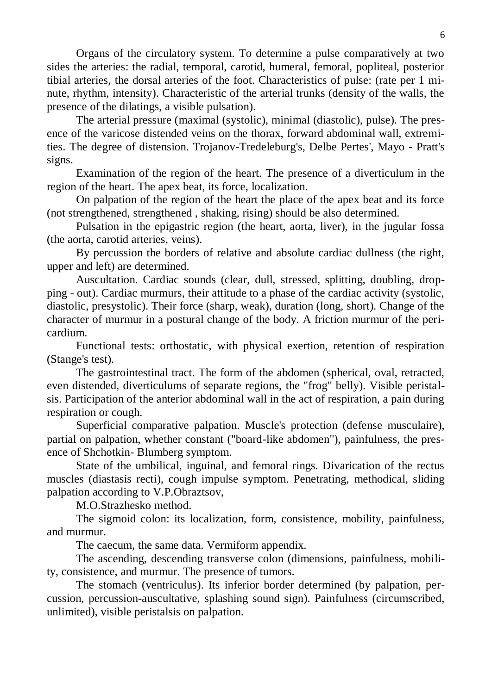Organs of the circulatory system. To determine a pulse comparatively at two sides the arteries: the radial, temporal, carotid, humeral, femoral, popliteal, posterior tibial arteries, the dorsal arteries of the foot. Characteristics of pulse: (rate per 1 minute, rhythm, intensity). Characteristic of the arterial trunks (density of the walls, the presence of the dilatings, a visible pulsation).

The arterial pressure (maximal (systolic), minimal (diastolic), pulse). The presence of the varicose distended veins on the thorax, forward abdominal wall, extremities. The degree of distension. Trojanov-Tredeleburg's, Delbe Pertes', Mayo - Pratt's signs.

Examination of the region of the heart. The presence of a diverticulum in the region of the heart. The apex beat, its force, localization.

On palpation of the region of the heart the place of the apex beat and its force (not strengthened, strengthened , shaking, rising) should be also determined.

Pulsation in the epigastric region (the heart, aorta, liver), in the jugular fossa (the aorta, carotid arteries, veins).

By percussion the borders of relative and absolute cardiac dullness (the right, upper and left) are determined.

Auscultation. Cardiac sounds (clear, dull, stressed, splitting, doubling, dropping - out). Cardiac murmurs, their attitude to a phase of the cardiac activity (systolic, diastolic, presystolic). Their force (sharp, weak), duration (long, short). Change of the character of murmur in a postural change of the body. A friction murmur of the pericardium.

Functional tests: orthostatic, with physical exertion, retention of respiration (Stange's test).

The gastrointestinal tract. The form of the abdomen (spherical, oval, retracted, even distended, diverticulums of separate regions, the "frog" belly). Visible peristalsis. Participation of the anterior abdominal wall in the act of respiration, a pain during respiration or cough.

Superficial comparative palpation. Muscle's protection (defense musculaire), partial on palpation, whether constant ("board-like abdomen"), painfulness, the presence of Shchotkin- Blumberg symptom.

State of the umbilical, inguinal, and femoral rings. Divarication of the rectus muscles (diastasis recti), cough impulse symptom. Penetrating, methodical, sliding palpation according to V.P.Obraztsov,

M.O.Strazhesko method.

The sigmoid colon: its localization, form, consistence, mobility, painfulness, and murmur.

The caecum, the same data. Vermiform appendix.

The ascending, descending transverse colon (dimensions, painfulness, mobility, consistence, and murmur. The presence of tumors.

The stomach (ventriculus). Its inferior border determined (by palpation, percussion, percussion-auscultative, splashing sound sign). Painfulness (circumscribed, unlimited), visible peristalsis on palpation.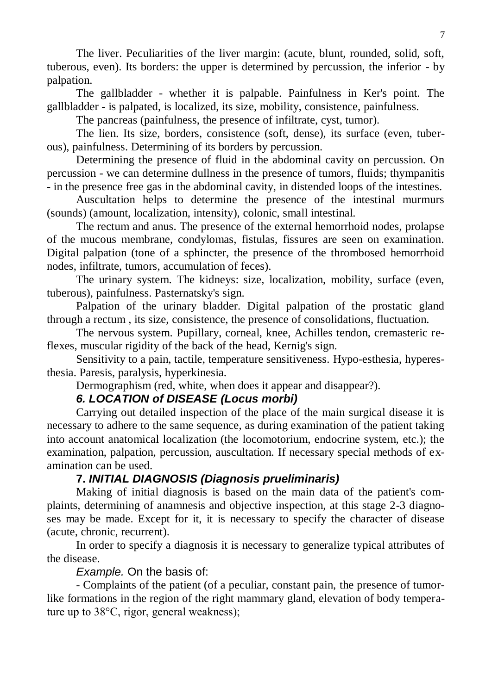The liver. Peculiarities of the liver margin: (acute, blunt, rounded, solid, soft, tuberous, even). Its borders: the upper is determined by percussion, the inferior - by palpation.

The gallbladder - whether it is palpable. Painfulness in Ker's point. The gallbladder - is palpated, is localized, its size, mobility, consistence, painfulness.

The pancreas (painfulness, the presence of infiltrate, cyst, tumor).

The lien. Its size, borders, consistence (soft, dense), its surface (even, tuberous), painfulness. Determining of its borders by percussion.

Determining the presence of fluid in the abdominal cavity on percussion. On percussion - we can determine dullness in the presence of tumors, fluids; thympanitis - in the presence free gas in the abdominal cavity, in distended loops of the intestines.

Auscultation helps to determine the presence of the intestinal murmurs (sounds) (amount, localization, intensity), colonic, small intestinal.

The rectum and anus. The presence of the external hemorrhoid nodes, prolapse of the mucous membrane, condylomas, fistulas, fissures are seen on examination. Digital palpation (tone of a sphincter, the presence of the thrombosed hemorrhoid nodes, infiltrate, tumors, accumulation of feces).

The urinary system. The kidneys: size, localization, mobility, surface (even, tuberous), painfulness. Pasternatsky's sign.

Palpation of the urinary bladder. Digital palpation of the prostatic gland through a rectum , its size, consistence, the presence of consolidations, fluctuation.

The nervous system. Pupillary, corneal, knee, Achilles tendon, cremasteric reflexes, muscular rigidity of the back of the head, Kernig's sign.

Sensitivity to a pain, tactile, temperature sensitiveness. Hypo-esthesia, hyperesthesia. Paresis, paralysis, hyperkinesia.

Dermographism (red, white, when does it appear and disappear?).

## *6. LOCATION of DISEASE (Locus morbi)*

Carrying out detailed inspection of the place of the main surgical disease it is necessary to adhere to the same sequence, as during examination of the patient taking into account anatomical localization (the locomotorium, endocrine system, etc.); the examination, palpation, percussion, auscultation. If necessary special methods of examination can be used.

## **7.** *INITIAL DIAGNOSIS (Diagnosis prueliminaris)*

Making of initial diagnosis is based on the main data of the patient's complaints, determining of anamnesis and objective inspection, at this stage 2-3 diagnoses may be made. Except for it, it is necessary to specify the character of disease (acute, chronic, recurrent).

In order to specify a diagnosis it is necessary to generalize typical attributes of the disease.

*Example.* On the basis of:

- Complaints of the patient (of a peculiar, constant pain, the presence of tumorlike formations in the region of the right mammary gland, elevation of body temperature up to 38°C, rigor, general weakness);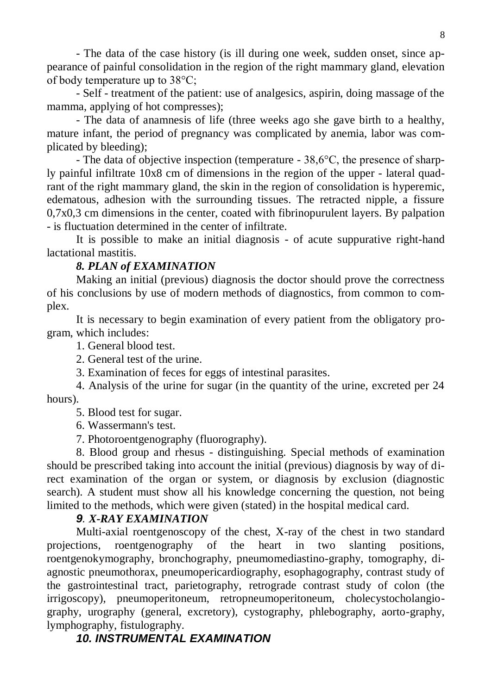- The data of the case history (is ill during one week, sudden onset, since appearance of painful consolidation in the region of the right mammary gland, elevation of body temperature up to 38°C;

- Self - treatment of the patient: use of analgesics, aspirin, doing massage of the mamma, applying of hot compresses);

- The data of anamnesis of life (three weeks ago she gave birth to a healthy, mature infant, the period of pregnancy was complicated by anemia, labor was complicated by bleeding);

- The data of objective inspection (temperature - 38,6°C, the presence of sharply painful infiltrate 10x8 cm of dimensions in the region of the upper - lateral quadrant of the right mammary gland, the skin in the region of consolidation is hyperemic, edematous, adhesion with the surrounding tissues. The retracted nipple, a fissure 0,7x0,3 cm dimensions in the center, coated with fibrinopurulent layers. By palpation - is fluctuation determined in the center of infiltrate.

It is possible to make an initial diagnosis - of acute suppurative right-hand lactational mastitis.

#### *8. PLAN of EXAMINATION*

Making an initial (previous) diagnosis the doctor should prove the correctness of his conclusions by use of modern methods of diagnostics, from common to complex.

It is necessary to begin examination of every patient from the obligatory program, which includes:

1. General blood test.

2. General test of the urine.

3. Examination of feces for eggs of intestinal parasites.

4. Analysis of the urine for sugar (in the quantity of the urine, excreted per 24 hours).

5. Blood test for sugar.

6. Wassermann's test.

7. Photoroentgenography (fluorography).

8. Blood group and rhesus - distinguishing. Special methods of examination should be prescribed taking into account the initial (previous) diagnosis by way of direct examination of the organ or system, or diagnosis by exclusion (diagnostic search). A student must show all his knowledge concerning the question, not being limited to the methods, which were given (stated) in the hospital medical card.

#### *9. X-RAY EXAMINATION*

Multi-axial roentgenoscopy of the chest, X-ray of the chest in two standard projections, roentgenography of the heart in two slanting positions, roentgenokymography, bronchography, pneumomediastino-graphy, tomography, diagnostic pneumothorax, pneumopericardiography, esophagography, contrast study of the gastrointestinal tract, parietography, retrograde contrast study of colon (the irrigoscopy), pneumoperitoneum, retropneumoperitoneum, cholecystocholangiography, urography (general, excretory), cystography, phlebography, aorto-graphy, lymphography, fistulography.

## *10. INSTRUMENTAL EXAMINATION*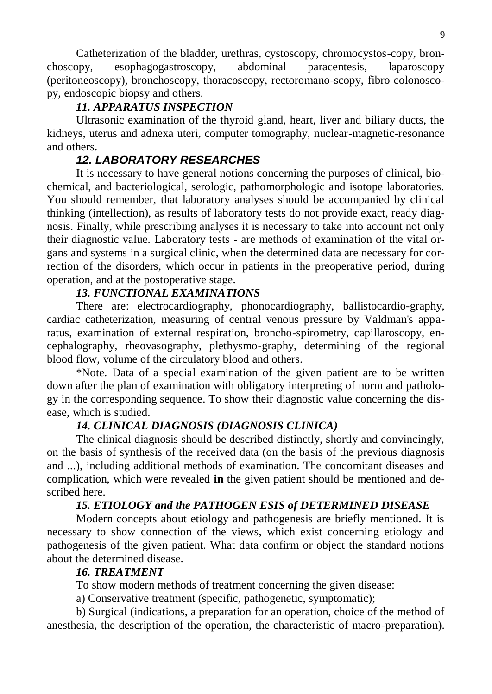Catheterization of the bladder, urethras, cystoscopy, chromocystos-copy, bronchoscopy, esophagogastroscopy, abdominal paracentesis, laparoscopy (peritoneoscopy), bronchoscopy, thoracoscopy, rectoromano-scopy, fibro colonoscopy, endoscopic biopsy and others.

## *11. APPARATUS INSPECTION*

Ultrasonic examination of the thyroid gland, heart, liver and biliary ducts, the kidneys, uterus and adnexa uteri, computer tomography, nuclear-magnetic-resonance and others.

## *12. LABORATORY RESEARCHES*

It is necessary to have general notions concerning the purposes of clinical, biochemical, and bacteriological, serologic, pathomorphologic and isotope laboratories. You should remember, that laboratory analyses should be accompanied by clinical thinking (intellection), as results of laboratory tests do not provide exact, ready diagnosis. Finally, while prescribing analyses it is necessary to take into account not only their diagnostic value. Laboratory tests - are methods of examination of the vital organs and systems in a surgical clinic, when the determined data are necessary for correction of the disorders, which occur in patients in the preoperative period, during operation, and at the postoperative stage.

## *13. FUNCTIONAL EXAMINATIONS*

There are: electrocardiography, phonocardiography, ballistocardio-graphy, cardiac catheterization, measuring of central venous pressure by Valdman's apparatus, examination of external respiration, broncho-spirometry, capillaroscopy, encephalography, rheovasography, plethysmo-graphy, determining of the regional blood flow, volume of the circulatory blood and others.

\*Note. Data of a special examination of the given patient are to be written down after the plan of examination with obligatory interpreting of norm and pathology in the corresponding sequence. To show their diagnostic value concerning the disease, which is studied.

### *14. CLINICAL DIAGNOSIS (DIAGNOSIS CLINICA)*

The clinical diagnosis should be described distinctly, shortly and convincingly, on the basis of synthesis of the received data (on the basis of the previous diagnosis and ...), including additional methods of examination. The concomitant diseases and complication, which were revealed **in** the given patient should be mentioned and described here.

## *15. ETIOLOGY and the PATHOGEN ESIS of DETERMINED DISEASE*

Modern concepts about etiology and pathogenesis are briefly mentioned. It is necessary to show connection of the views, which exist concerning etiology and pathogenesis of the given patient. What data confirm or object the standard notions about the determined disease.

#### *16. TREATMENT*

To show modern methods of treatment concerning the given disease:

a) Conservative treatment (specific, pathogenetic, symptomatic);

b) Surgical (indications, a preparation for an operation, choice of the method of anesthesia, the description of the operation, the characteristic of macro-preparation).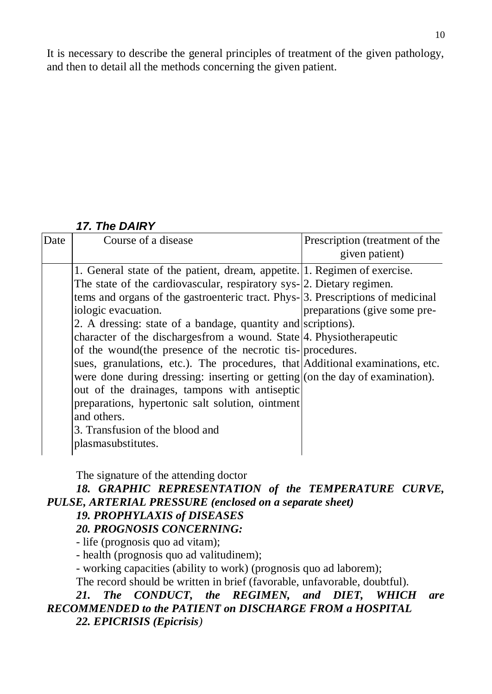It is necessary to describe the general principles of treatment of the given pathology, and then to detail all the methods concerning the given patient.

# *17. The DAIRY*

| Date | Course of a disease                                                                                                                                                                                                                                                                                                                                                                                                                                                                                                                                                                                                                                                                                                                                                                                             | Prescription (treatment of the<br>given patient) |
|------|-----------------------------------------------------------------------------------------------------------------------------------------------------------------------------------------------------------------------------------------------------------------------------------------------------------------------------------------------------------------------------------------------------------------------------------------------------------------------------------------------------------------------------------------------------------------------------------------------------------------------------------------------------------------------------------------------------------------------------------------------------------------------------------------------------------------|--------------------------------------------------|
|      | 1. General state of the patient, dream, appetite. 1. Regimen of exercise.<br>The state of the cardiovascular, respiratory sys-[2. Dietary regimen.<br>tems and organs of the gastroenteric tract. Phys-3. Prescriptions of medicinal<br>iologic evacuation.<br>2. A dressing: state of a bandage, quantity and scriptions).<br>character of the discharges from a wound. State 4. Physiotherapeutic<br>of the wound (the presence of the necrotic tis-procedures.<br>sues, granulations, etc.). The procedures, that Additional examinations, etc.<br>were done during dressing: inserting or getting (on the day of examination).<br>out of the drainages, tampons with antiseptic<br>preparations, hypertonic salt solution, ointment<br>and others.<br>3. Transfusion of the blood and<br>plasmasubstitutes. | preparations (give some pre-                     |
|      |                                                                                                                                                                                                                                                                                                                                                                                                                                                                                                                                                                                                                                                                                                                                                                                                                 |                                                  |

The signature of the attending doctor

## *18. GRAPHIC REPRESENTATION of the TEMPERATURE CURVE, PULSE, ARTERIAL PRESSURE (enclosed on a separate sheet)*

## *19. PROPHYLAXIS of DISEASES*

## *20. PROGNOSIS CONCERNING:*

*-* life (prognosis quo ad vitam);

- health (prognosis quo ad valitudinem);

- working capacities (ability to work) (prognosis quo ad laborem);

The record should be written in brief (favorable, unfavorable, doubtful).

## *21. The CONDUCT, the REGIMEN, and DIET, WHICH are RECOMMENDED to the PATIENT on DISCHARGE FROM a HOSPITAL 22. EPICRISIS (Epicrisis)*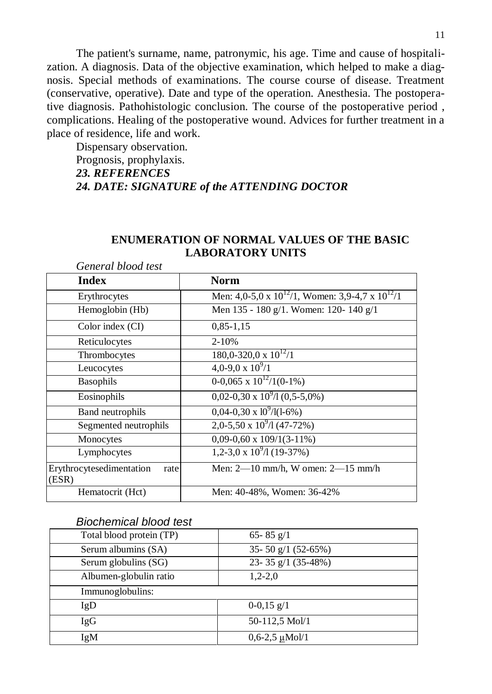The patient's surname, name, patronymic, his age. Time and cause of hospitalization. A diagnosis. Data of the objective examination, which helped to make a diagnosis. Special methods of examinations. The course course of disease. Treatment (conservative, operative). Date and type of the operation. Anesthesia. The postoperative diagnosis. Pathohistologic conclusion. The course of the postoperative period , complications. Healing of the postoperative wound. Advices for further treatment in a place of residence, life and work.

Dispensary observation. Prognosis, prophylaxis. *23. REFERENCES 24. DATE: SIGNATURE of the ATTENDING DOCTOR*

| General blood test                        |                                                           |
|-------------------------------------------|-----------------------------------------------------------|
| <b>Index</b>                              | <b>Norm</b>                                               |
| Erythrocytes                              | Men: 4,0-5,0 x $10^{12}/1$ , Women: 3,9-4,7 x $10^{12}/1$ |
| Hemoglobin (Hb)                           | Men 135 - 180 g/1. Women: 120- 140 g/1                    |
| Color index (CI)                          | $0,85-1,15$                                               |
| Reticulocytes                             | $2 - 10%$                                                 |
| Thrombocytes                              | $180,0-320,0 \times 10^{12}/1$                            |
| Leucocytes                                | 4,0-9,0 x $10^{9}/1$                                      |
| <b>Basophils</b>                          | $0-0.065 \times 10^{12}/1(0-1\%)$                         |
| Eosinophils                               | $0.02 - 0.30 \times 10^9 / 1 (0.5 - 5.0%)$                |
| Band neutrophils                          | $0.04 - 0.30 \times 10^9 / 1(1 - 6\%)$                    |
| Segmented neutrophils                     | $2,0-5,50 \times 10^9/1 (47-72%)$                         |
| Monocytes                                 | $0,09-0,60 \times 109/1(3-11\%)$                          |
| Lymphocytes                               | $1,2-3,0 \times 10^9/1(19-37%)$                           |
| Erythrocytesedimentation<br>rate<br>(ESR) | Men: $2-10$ mm/h, W omen: $2-15$ mm/h                     |
| Hematocrit (Hct)                          | Men: 40-48%, Women: 36-42%                                |

### **ENUMERATION OF NORMAL VALUES OF THE BASIC LABORATORY UNITS**

#### *Biochemical blood test*

| Total blood protein (TP) | 65 - 85 $g/1$             |
|--------------------------|---------------------------|
| Serum albumins (SA)      | 35-50 $g/1$ (52-65%)      |
| Serum globulins (SG)     | 23-35 $g/1$ (35-48%)      |
| Albumen-globulin ratio   | $1,2-2,0$                 |
| Immunoglobulins:         |                           |
| IgD                      | $0-0,15 \frac{g}{1}$      |
| <b>IgG</b>               | 50-112,5 Mol/1            |
| IgM                      | $0,6-2,5 \mu\text{Mol}/1$ |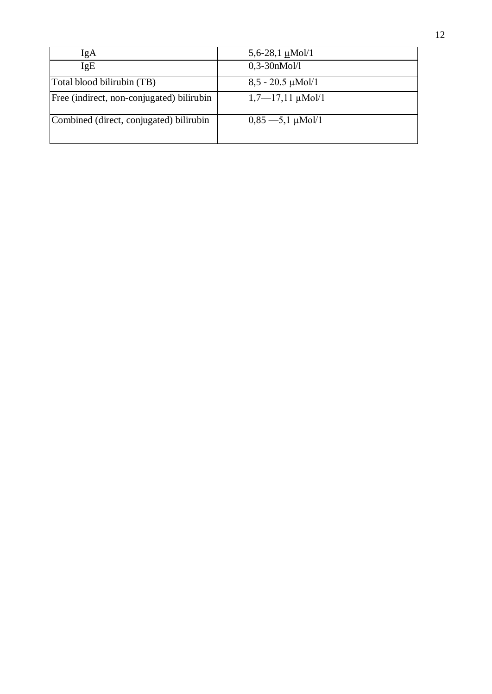| IgA                                       | 5,6-28,1 $\mu$ Mol/1         |
|-------------------------------------------|------------------------------|
| IgE                                       | $0,3-30nMol/l$               |
| Total blood bilirubin (TB)                | $8,5 - 20.5 \mu\text{Mol}/1$ |
| Free (indirect, non-conjugated) bilirubin | $1,7$ —17,11 µMol/1          |
| Combined (direct, conjugated) bilirubin   | $0,85 - 5,1 \mu$ Mol/1       |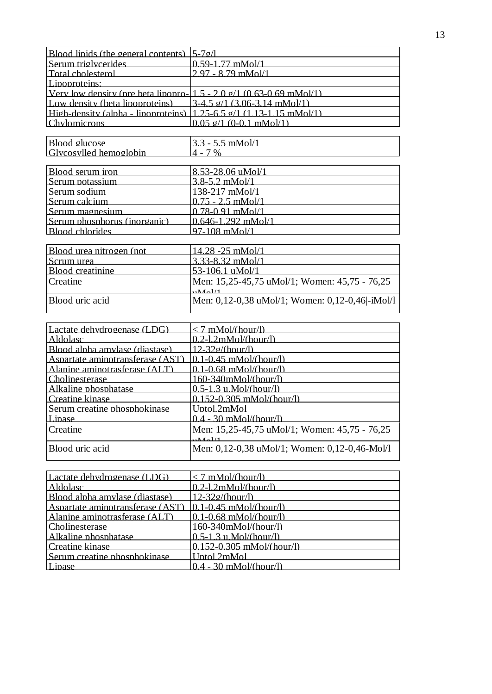| Blood linids (the general contents) $\frac{5-7g}{l}$                        |                                                 |
|-----------------------------------------------------------------------------|-------------------------------------------------|
| Serum triglycerides                                                         | $0.59 - 1.77$ mMol/1                            |
| <b>Total cholesterol</b>                                                    | 2.97 - 8.79 mMol/1                              |
| Lipoproteins:                                                               |                                                 |
| Very low density (pre beta lipopro-1.5 - 2.0 $\sigma$ /1 (0.63-0.69 mMol/1) |                                                 |
| Low density (beta linonroteins)                                             | $3-4.5$ $9/1$ $(3.06-3.14$ mMol/1)              |
| High-density (alpha - lipoproteins) $(1.25-6.5)$ g/1 $(1.13-1.15)$ mMol/1)  |                                                 |
| <b>Chylomicrons</b>                                                         | $0.05$ $\sigma/1$ (0-0.1 mMol/1)                |
|                                                                             |                                                 |
| Blood glucose                                                               | $3.3 - 5.5$ mMol/1                              |
| Glycosylled hemoglobin                                                      | $4 - 7\%$                                       |
|                                                                             |                                                 |
| Blood serum iron                                                            | 8.53-28.06 uMol/1                               |
| Serum potassium                                                             | 3.8-5.2 mMol/1                                  |
| Serum sodium                                                                | 138-217 mMol/1                                  |
| Serum calcium                                                               | $0.75 - 2.5$ mMol/1                             |
| Serum magnesium                                                             | $0.78 - 0.91$ mMol/1                            |
| Serum phosphorus (inorganic)                                                | $0.646 - 1.292$ mMol/1                          |
| <b>Blood chlorides</b>                                                      | 97-108 mMol/1                                   |
|                                                                             |                                                 |
| Blood urea nitrogen (not                                                    | <u>14.28 -25 mMol/1</u>                         |
| Scrum urea                                                                  | 3.33-8.32 mMol/1                                |
| <b>Blood</b> creatinine                                                     | 53-106.1 uMol/1                                 |
| Creatine                                                                    | Men: 15,25-45,75 uMol/1; Women: 45,75 - 76,25   |
|                                                                             | $\mathbf{M}$ al/1                               |
| Blood uric acid                                                             | Men: 0,12-0,38 uMol/1; Women: 0,12-0,46 -iMol/l |
|                                                                             |                                                 |
|                                                                             |                                                 |
| Lactate dehydrogenase (LDG)                                                 | $< 7$ mMol/(hour/l)                             |
| Aldolasc                                                                    | $0.2$ -1.2mMol/(hour/l)                         |
| Blood alpha amylase (diastase)                                              | $12 - 32g/(hour/h)$                             |
| Aspartate aminotransferase (AST)                                            | $0.1 - 0.45$ mMol/(hour/l)                      |
| Alanine aminotrasferase (ALT)                                               | $0.1 - 0.68$ mMol/(hour/l)                      |
| Cholinesterase                                                              | $160 - 340$ mMol/(hour/l)                       |
| Alkaline phosphatase                                                        | $0.5 - 1.3$ u.Mol/(hour/l)                      |
| Creatine kinase                                                             | $0.152 - 0.305$ mMol/(hour/l)                   |
| Serum creatine phosphokinase                                                | Untol.2mMol                                     |
| Lipase                                                                      | $0.4 - 30$ mMol/(hour/l)                        |
| Creatine                                                                    | Men: 15,25-45,75 uMol/1; Women: 45,75 - 76,25   |
|                                                                             | $\mathbf{M}_{\odot}$ 1/1                        |
|                                                                             |                                                 |

| $< 7$ mMol/(hour/l)           |
|-------------------------------|
| $0.2$ -1.2mMol/(hour/l)       |
| $12 - 32g/(hour/l)$           |
| $0.1 - 0.45$ mMol/(hour/l)    |
| $0.1 - 0.68$ mMol/(hour/l)    |
| $160 - 340$ mMol/(hour/l)     |
| $0.5 - 1.3$ u.Mol/(hour/l)    |
| $0.152 - 0.305$ mMol/(hour/l) |
| Untol 2mMol                   |
| $0.4 - 30$ mMol/(hour/l)      |
|                               |

Blood uric acid Men: 0,12-0,38 uMol/1; Women: 0,12-0,46-Mol/l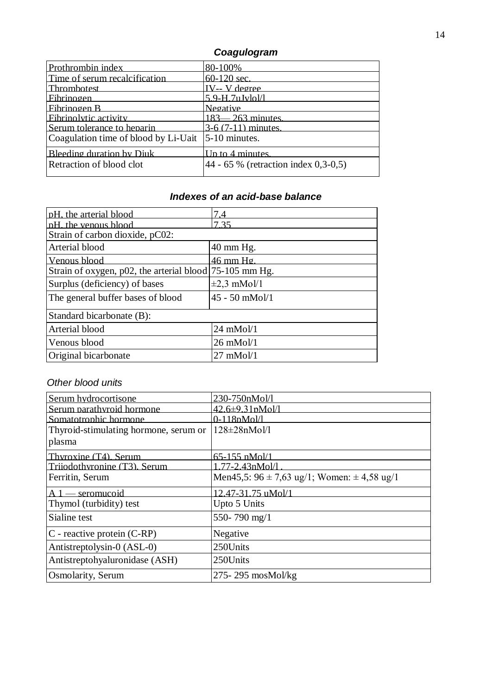# *Coagulogram*

| Prothrombin index                    | 80-100%                                  |
|--------------------------------------|------------------------------------------|
| Time of serum recalcification        | $60-120$ sec.                            |
| Thrombotest                          | IV-- V degree                            |
| <b>Fibrinogen</b>                    | $5.9-H.7uJvlol/l$                        |
| Fibrinogen B                         | <b>Negative</b>                          |
| Fibrinolytic activity                | $183 - 263$ minutes.                     |
| Serum tolerance to heparin           | $3-6(7-11)$ minutes.                     |
| Coagulation time of blood by Li-Uait | $5-10$ minutes.                          |
| Bleeding duration by Diuk            | Up to 4 minutes.                         |
| Retraction of blood clot             | $ 44 - 65 \%$ (retraction index 0,3-0,5) |

# *Indexes of an acid-base balance*

| pH, the arterial blood                                  | 7.4                  |
|---------------------------------------------------------|----------------------|
| pH, the venous blood                                    | 7 35                 |
| Strain of carbon dioxide, pC02:                         |                      |
| Arterial blood                                          | $40 \text{ mm Hg}$ . |
| Venous blood                                            | $46 \text{ mm}$ Hg   |
| Strain of oxygen, p02, the arterial blood 75-105 mm Hg. |                      |
| Surplus (deficiency) of bases                           | $\pm 2.3$ mMol/1     |
| The general buffer bases of blood                       | $45 - 50$ mMol/1     |
| Standard bicarbonate (B):                               |                      |
| Arterial blood                                          | $24$ mMol/1          |
| Venous blood                                            | $26 \text{ m}$ Mol/1 |
| Original bicarbonate                                    | $27 \text{ m}$ Mol/1 |

## *Other blood units*

| Serum hydrocortisone                  | 230-750nMol/l                                       |
|---------------------------------------|-----------------------------------------------------|
| Serum parathyroid hormone             | $42.6\pm9.31$ pMol/1                                |
| Somatotrophic hormone                 | $0 - 118pMol/l$                                     |
| Thyroid-stimulating hormone, serum or | $128 \pm 28$ nMol/1                                 |
| plasma                                |                                                     |
| Thyroxine (T4), Serum                 | 65-155 nMol/1                                       |
| Triiodothyronine (T3). Serum          | .77-2.43nMol/1                                      |
| Ferritin, Serum                       | Men45,5: $96 \pm 7.63$ ug/1; Women: $\pm 4.58$ ug/1 |
| $A1$ - seromucoid                     | 12.47-31.75 uMol/1                                  |
| Thymol (turbidity) test               | Upto 5 Units                                        |
| Sialine test                          | 550-790 mg/1                                        |
| C - reactive protein (C-RP)           | Negative                                            |
| Antistreptolysin-0 (ASL-0)            | 250Units                                            |
| Antistreptohyaluronidase (ASH)        | 250Units                                            |
| Osmolarity, Serum                     | $275 - 295$ mosMol/kg                               |